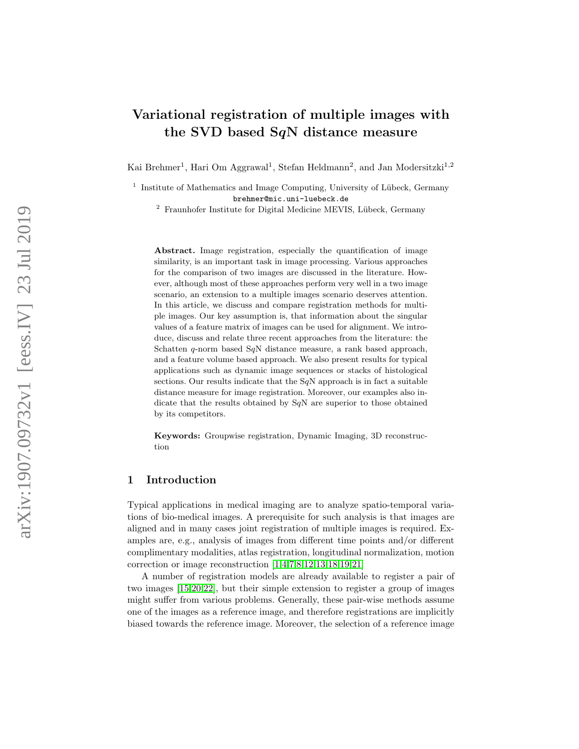# Variational registration of multiple images with the SVD based SqN distance measure

Kai Brehmer<sup>1</sup>, Hari Om Aggrawal<sup>1</sup>, Stefan Heldmann<sup>2</sup>, and Jan Modersitzki<sup>1,2</sup>

<sup>1</sup> Institute of Mathematics and Image Computing, University of Lübeck, Germany brehmer@mic.uni-luebeck.de

 $^{\rm 2}$  Fraunhofer Institute for Digital Medicine MEVIS, Lübeck, Germany

Abstract. Image registration, especially the quantification of image similarity, is an important task in image processing. Various approaches for the comparison of two images are discussed in the literature. However, although most of these approaches perform very well in a two image scenario, an extension to a multiple images scenario deserves attention. In this article, we discuss and compare registration methods for multiple images. Our key assumption is, that information about the singular values of a feature matrix of images can be used for alignment. We introduce, discuss and relate three recent approaches from the literature: the Schatten q-norm based SqN distance measure, a rank based approach, and a feature volume based approach. We also present results for typical applications such as dynamic image sequences or stacks of histological sections. Our results indicate that the SqN approach is in fact a suitable distance measure for image registration. Moreover, our examples also indicate that the results obtained by SqN are superior to those obtained by its competitors.

Keywords: Groupwise registration, Dynamic Imaging, 3D reconstruction

# 1 Introduction

Typical applications in medical imaging are to analyze spatio-temporal variations of bio-medical images. A prerequisite for such analysis is that images are aligned and in many cases joint registration of multiple images is required. Examples are, e.g., analysis of images from different time points and/or different complimentary modalities, atlas registration, longitudinal normalization, motion correction or image reconstruction [\[1](#page-9-0)[,4,](#page-10-0)[7,](#page-10-1)[8,](#page-10-2)[12](#page-10-3)[,13,](#page-11-0)[18,](#page-11-1)[19,](#page-11-2)[21\]](#page-11-3)

A number of registration models are already available to register a pair of two images [\[15,](#page-11-4)[20,](#page-11-5)[22\]](#page-11-6), but their simple extension to register a group of images might suffer from various problems. Generally, these pair-wise methods assume one of the images as a reference image, and therefore registrations are implicitly biased towards the reference image. Moreover, the selection of a reference image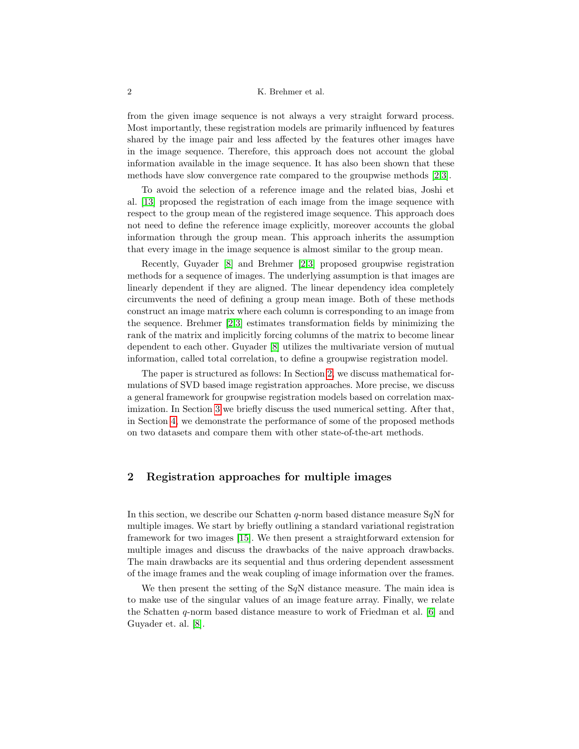#### 2 K. Brehmer et al.

from the given image sequence is not always a very straight forward process. Most importantly, these registration models are primarily influenced by features shared by the image pair and less affected by the features other images have in the image sequence. Therefore, this approach does not account the global information available in the image sequence. It has also been shown that these methods have slow convergence rate compared to the groupwise methods [\[2](#page-10-4)[,3\]](#page-10-5).

To avoid the selection of a reference image and the related bias, Joshi et al. [\[13\]](#page-11-0) proposed the registration of each image from the image sequence with respect to the group mean of the registered image sequence. This approach does not need to define the reference image explicitly, moreover accounts the global information through the group mean. This approach inherits the assumption that every image in the image sequence is almost similar to the group mean.

Recently, Guyader [\[8\]](#page-10-2) and Brehmer [\[2,](#page-10-4)[3\]](#page-10-5) proposed groupwise registration methods for a sequence of images. The underlying assumption is that images are linearly dependent if they are aligned. The linear dependency idea completely circumvents the need of defining a group mean image. Both of these methods construct an image matrix where each column is corresponding to an image from the sequence. Brehmer [\[2,](#page-10-4)[3\]](#page-10-5) estimates transformation fields by minimizing the rank of the matrix and implicitly forcing columns of the matrix to become linear dependent to each other. Guyader [\[8\]](#page-10-2) utilizes the multivariate version of mutual information, called total correlation, to define a groupwise registration model.

The paper is structured as follows: In Section [2,](#page-1-0) we discuss mathematical formulations of SVD based image registration approaches. More precise, we discuss a general framework for groupwise registration models based on correlation maximization. In Section [3](#page-6-0) we briefly discuss the used numerical setting. After that, in Section [4,](#page-6-1) we demonstrate the performance of some of the proposed methods on two datasets and compare them with other state-of-the-art methods.

# <span id="page-1-0"></span>2 Registration approaches for multiple images

In this section, we describe our Schatten  $q$ -norm based distance measure S $qN$  for multiple images. We start by briefly outlining a standard variational registration framework for two images [\[15\]](#page-11-4). We then present a straightforward extension for multiple images and discuss the drawbacks of the naive approach drawbacks. The main drawbacks are its sequential and thus ordering dependent assessment of the image frames and the weak coupling of image information over the frames.

We then present the setting of the SqN distance measure. The main idea is to make use of the singular values of an image feature array. Finally, we relate the Schatten q-norm based distance measure to work of Friedman et al. [\[6\]](#page-10-6) and Guyader et. al. [\[8\]](#page-10-2).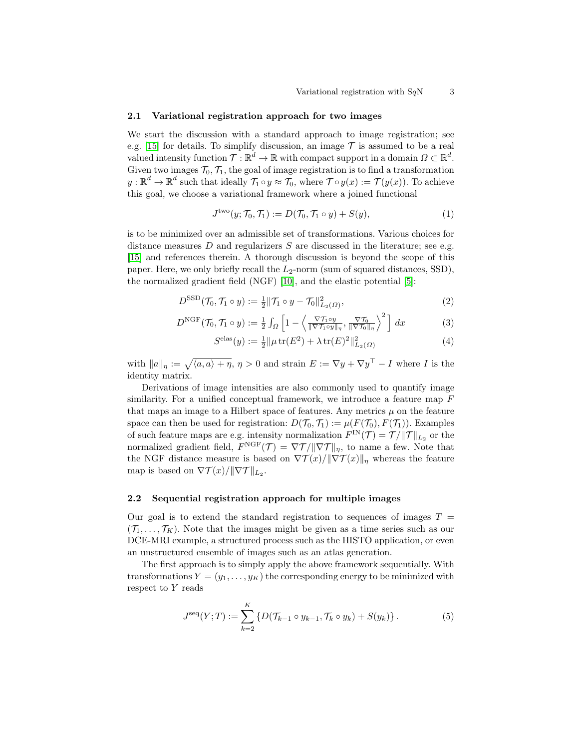## <span id="page-2-0"></span>2.1 Variational registration approach for two images

We start the discussion with a standard approach to image registration; see e.g. [\[15\]](#page-11-4) for details. To simplify discussion, an image  $\mathcal T$  is assumed to be a real valued intensity function  $\mathcal{T} : \mathbb{R}^d \to \mathbb{R}$  with compact support in a domain  $\Omega \subset \mathbb{R}^d$ . Given two images  $\mathcal{T}_0$ ,  $\mathcal{T}_1$ , the goal of image registration is to find a transformation  $y: \mathbb{R}^d \to \mathbb{R}^d$  such that ideally  $\mathcal{T}_1 \circ y \approx \mathcal{T}_0$ , where  $\mathcal{T} \circ y(x) := \mathcal{T}(y(x))$ . To achieve this goal, we choose a variational framework where a joined functional

$$
J^{\text{two}}(y; \mathcal{T}_0, \mathcal{T}_1) := D(\mathcal{T}_0, \mathcal{T}_1 \circ y) + S(y), \tag{1}
$$

is to be minimized over an admissible set of transformations. Various choices for distance measures  $D$  and regularizers  $S$  are discussed in the literature; see e.g. [\[15\]](#page-11-4) and references therein. A thorough discussion is beyond the scope of this paper. Here, we only briefly recall the  $L_2$ -norm (sum of squared distances, SSD), the normalized gradient field (NGF) [\[10\]](#page-10-7), and the elastic potential [\[5\]](#page-10-8):

$$
D^{\text{SSD}}(\mathcal{T}_0, \mathcal{T}_1 \circ y) := \frac{1}{2} ||\mathcal{T}_1 \circ y - \mathcal{T}_0||^2_{L_2(\Omega)},\tag{2}
$$

$$
D^{\text{NGF}}(\mathcal{T}_0, \mathcal{T}_1 \circ y) := \frac{1}{2} \int_{\Omega} \left[ 1 - \left\langle \frac{\nabla \mathcal{T}_1 \circ y}{\|\nabla \mathcal{T}_1 \circ y\|_{\eta}}, \frac{\nabla \mathcal{T}_0}{\|\nabla \mathcal{T}_0\|_{\eta}} \right\rangle^2 \right] dx \tag{3}
$$

$$
Selas(y) := \frac{1}{2} ||\mu \operatorname{tr}(E^2) + \lambda \operatorname{tr}(E)^2||^2_{L_2(\Omega)}
$$
(4)

with  $||a||_{\eta} := \sqrt{\langle a, a \rangle + \eta}, \, \eta > 0$  and strain  $E := \nabla y + \nabla y^{\top} - I$  where I is the identity matrix.

Derivations of image intensities are also commonly used to quantify image similarity. For a unified conceptual framework, we introduce a feature map  $F$ that maps an image to a Hilbert space of features. Any metrics  $\mu$  on the feature space can then be used for registration:  $D(\mathcal{T}_0, \mathcal{T}_1) := \mu(F(\mathcal{T}_0), F(\mathcal{T}_1))$ . Examples of such feature maps are e.g. intensity normalization  $F^{\text{IN}}(\mathcal{T}) = \mathcal{T}/||\mathcal{T}||_{L_2}$  or the normalized gradient field,  $F^{\text{NGF}}(\mathcal{T}) = \nabla \mathcal{T}/\|\nabla \mathcal{T}\|_{\eta}$ , to name a few. Note that the NGF distance measure is based on  $\nabla \mathcal{T}(x)/\|\nabla \mathcal{T}(x)\|_{\eta}$  whereas the feature map is based on  $\nabla \mathcal{T}(x) / ||\nabla \mathcal{T}||_{L_2}$ .

## 2.2 Sequential registration approach for multiple images

Our goal is to extend the standard registration to sequences of images  $T =$  $(\mathcal{T}_1, \ldots, \mathcal{T}_K)$ . Note that the images might be given as a time series such as our DCE-MRI example, a structured process such as the HISTO application, or even an unstructured ensemble of images such as an atlas generation.

The first approach is to simply apply the above framework sequentially. With transformations  $Y = (y_1, \ldots, y_K)$  the corresponding energy to be minimized with respect to Y reads

<span id="page-2-1"></span>
$$
J^{\text{seq}}(Y;T) := \sum_{k=2}^{K} \{ D(\mathcal{T}_{k-1} \circ y_{k-1}, \mathcal{T}_k \circ y_k) + S(y_k) \}.
$$
 (5)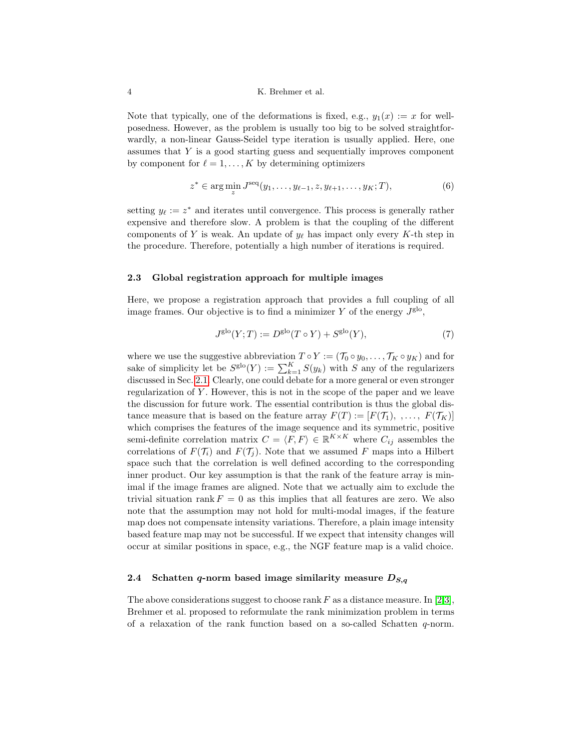#### 4 K. Brehmer et al.

Note that typically, one of the deformations is fixed, e.g.,  $y_1(x) := x$  for wellposedness. However, as the problem is usually too big to be solved straightforwardly, a non-linear Gauss-Seidel type iteration is usually applied. Here, one assumes that Y is a good starting guess and sequentially improves component by component for  $\ell = 1, \ldots, K$  by determining optimizers

$$
z^* \in \arg\min_z J^{\text{seq}}(y_1,\ldots,y_{\ell-1},z,y_{\ell+1},\ldots,y_K;T),\tag{6}
$$

setting  $y_{\ell} := z^*$  and iterates until convergence. This process is generally rather expensive and therefore slow. A problem is that the coupling of the different components of Y is weak. An update of  $y_\ell$  has impact only every K-th step in the procedure. Therefore, potentially a high number of iterations is required.

## 2.3 Global registration approach for multiple images

Here, we propose a registration approach that provides a full coupling of all image frames. Our objective is to find a minimizer Y of the energy  $J^{\text{glo}}$ ,

$$
J^{\text{glo}}(Y;T) := D^{\text{glo}}(T \circ Y) + S^{\text{glo}}(Y),\tag{7}
$$

where we use the suggestive abbreviation  $T \circ Y := (\mathcal{T}_0 \circ y_0, \dots, \mathcal{T}_K \circ y_K)$  and for sake of simplicity let be  $S^{glo}(Y) := \sum_{k=1}^{K} S(y_k)$  with S any of the regularizers discussed in Sec. [2.1.](#page-2-0) Clearly, one could debate for a more general or even stronger regularization of  $Y$ . However, this is not in the scope of the paper and we leave the discussion for future work. The essential contribution is thus the global distance measure that is based on the feature array  $F(T) := [F(\mathcal{T}_1), \ldots, F(\mathcal{T}_K)]$ which comprises the features of the image sequence and its symmetric, positive semi-definite correlation matrix  $C = \langle F, F \rangle \in \mathbb{R}^{K \times K}$  where  $C_{ij}$  assembles the correlations of  $F(\mathcal{T}_i)$  and  $F(\mathcal{T}_j)$ . Note that we assumed F maps into a Hilbert space such that the correlation is well defined according to the corresponding inner product. Our key assumption is that the rank of the feature array is minimal if the image frames are aligned. Note that we actually aim to exclude the trivial situation rank  $F = 0$  as this implies that all features are zero. We also note that the assumption may not hold for multi-modal images, if the feature map does not compensate intensity variations. Therefore, a plain image intensity based feature map may not be successful. If we expect that intensity changes will occur at similar positions in space, e.g., the NGF feature map is a valid choice.

#### 2.4 Schatten q-norm based image similarity measure  $D_{S,q}$

The above considerations suggest to choose rank F as a distance measure. In [\[2](#page-10-4)[,3\]](#page-10-5), Brehmer et al. proposed to reformulate the rank minimization problem in terms of a relaxation of the rank function based on a so-called Schatten  $q$ -norm.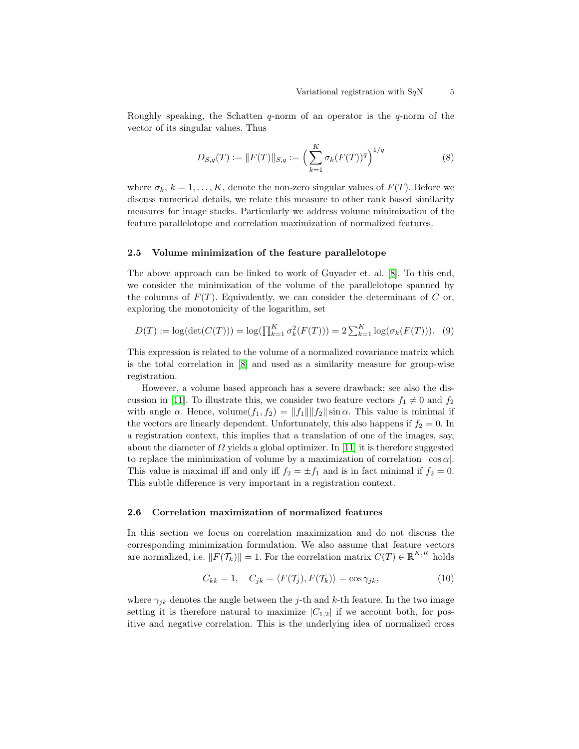Roughly speaking, the Schatten  $q$ -norm of an operator is the  $q$ -norm of the vector of its singular values. Thus

$$
D_{S,q}(T) := ||F(T)||_{S,q} := \left(\sum_{k=1}^{K} \sigma_k (F(T))^q\right)^{1/q} \tag{8}
$$

where  $\sigma_k$ ,  $k = 1, \ldots, K$ , denote the non-zero singular values of  $F(T)$ . Before we discuss numerical details, we relate this measure to other rank based similarity measures for image stacks. Particularly we address volume minimization of the feature parallelotope and correlation maximization of normalized features.

#### 2.5 Volume minimization of the feature parallelotope

The above approach can be linked to work of Guyader et. al. [\[8\]](#page-10-2). To this end, we consider the minimization of the volume of the parallelotope spanned by the columns of  $F(T)$ . Equivalently, we can consider the determinant of C or, exploring the monotonicity of the logarithm, set

$$
D(T) := \log(\det(C(T))) = \log(\prod_{k=1}^{K} \sigma_k^2(F(T))) = 2 \sum_{k=1}^{K} \log(\sigma_k(F(T))). \quad (9)
$$

This expression is related to the volume of a normalized covariance matrix which is the total correlation in [\[8\]](#page-10-2) and used as a similarity measure for group-wise registration.

However, a volume based approach has a severe drawback; see also the dis-cussion in [\[11\]](#page-10-9). To illustrate this, we consider two feature vectors  $f_1 \neq 0$  and  $f_2$ with angle  $\alpha$ . Hence, volume $(f_1, f_2) = ||f_1|| ||f_2|| \sin \alpha$ . This value is minimal if the vectors are linearly dependent. Unfortunately, this also happens if  $f_2 = 0$ . In a registration context, this implies that a translation of one of the images, say, about the diameter of  $\Omega$  yields a global optimizer. In [\[11\]](#page-10-9) it is therefore suggested to replace the minimization of volume by a maximization of correlation  $|\cos \alpha|$ . This value is maximal iff and only iff  $f_2 = \pm f_1$  and is in fact minimal if  $f_2 = 0$ . This subtle difference is very important in a registration context.

### 2.6 Correlation maximization of normalized features

In this section we focus on correlation maximization and do not discuss the corresponding minimization formulation. We also assume that feature vectors are normalized, i.e.  $||F(\mathcal{T}_k)|| = 1$ . For the correlation matrix  $C(T) \in \mathbb{R}^{K,K}$  holds

$$
C_{kk} = 1, \quad C_{jk} = \langle F(\mathcal{T}_j), F(\mathcal{T}_k) \rangle = \cos \gamma_{jk}, \tag{10}
$$

where  $\gamma_{ik}$  denotes the angle between the j-th and k-th feature. In the two image setting it is therefore natural to maximize  $|C_{1,2}|$  if we account both, for positive and negative correlation. This is the underlying idea of normalized cross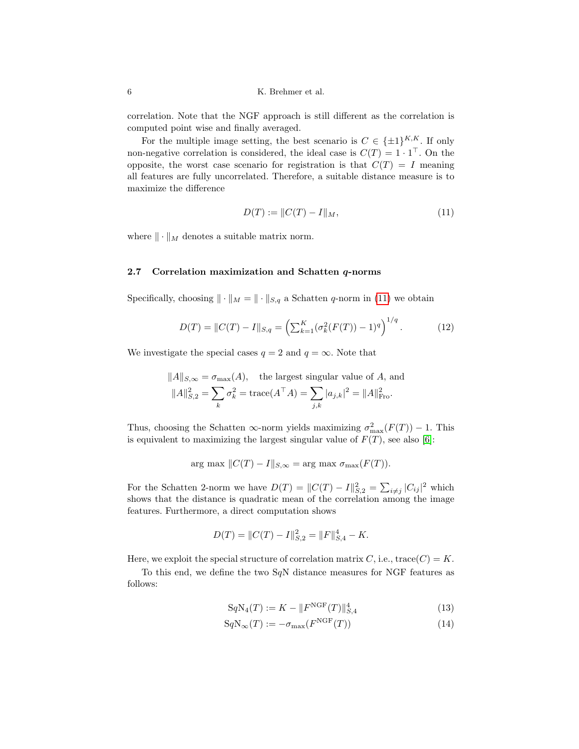correlation. Note that the NGF approach is still different as the correlation is computed point wise and finally averaged.

For the multiple image setting, the best scenario is  $C \in {\{\pm 1\}}^{K,K}$ . If only non-negative correlation is considered, the ideal case is  $C(T) = 1 \cdot 1^{T}$ . On the opposite, the worst case scenario for registration is that  $C(T) = I$  meaning all features are fully uncorrelated. Therefore, a suitable distance measure is to maximize the difference

<span id="page-5-0"></span>
$$
D(T) := \|C(T) - I\|_M,\tag{11}
$$

where  $\|\cdot\|_M$  denotes a suitable matrix norm.

## 2.7 Correlation maximization and Schatten q-norms

Specifically, choosing  $\|\cdot\|_M = \|\cdot\|_{S,q}$  a Schatten q-norm in [\(11\)](#page-5-0) we obtain

$$
D(T) = ||C(T) - I||_{S,q} = \left(\sum_{k=1}^{K} (\sigma_k^2(F(T)) - 1)^q\right)^{1/q}.
$$
 (12)

We investigate the special cases  $q = 2$  and  $q = \infty$ . Note that

$$
||A||_{S,\infty} = \sigma_{\max}(A),
$$
 the largest singular value of A, and  

$$
||A||_{S,2}^2 = \sum_k \sigma_k^2 = \text{trace}(A^\top A) = \sum_{j,k} |a_{j,k}|^2 = ||A||_{\text{Fro}}^2.
$$

Thus, choosing the Schatten  $\infty$ -norm yields maximizing  $\sigma_{\max}^2(F(T)) - 1$ . This is equivalent to maximizing the largest singular value of  $F(T)$ , see also [\[6\]](#page-10-6):

$$
\arg \max ||C(T) - I||_{S,\infty} = \arg \max \sigma_{\max}(F(T)).
$$

For the Schatten 2-norm we have  $D(T) = ||C(T) - I||_{S,2}^2 = \sum_{i \neq j} |C_{ij}|^2$  which shows that the distance is quadratic mean of the correlation among the image features. Furthermore, a direct computation shows

$$
D(T) = ||C(T) - I||_{S,2}^{2} = ||F||_{S,4}^{4} - K.
$$

Here, we exploit the special structure of correlation matrix C, i.e., trace( $C$ ) = K.

To this end, we define the two SqN distance measures for NGF features as follows:

$$
SqN_4(T) := K - \|F^{NGF}(T)\|_{S,4}^4
$$
\n(13)

$$
SqN_{\infty}(T) := -\sigma_{\max}(F^{\text{NGF}}(T))
$$
\n(14)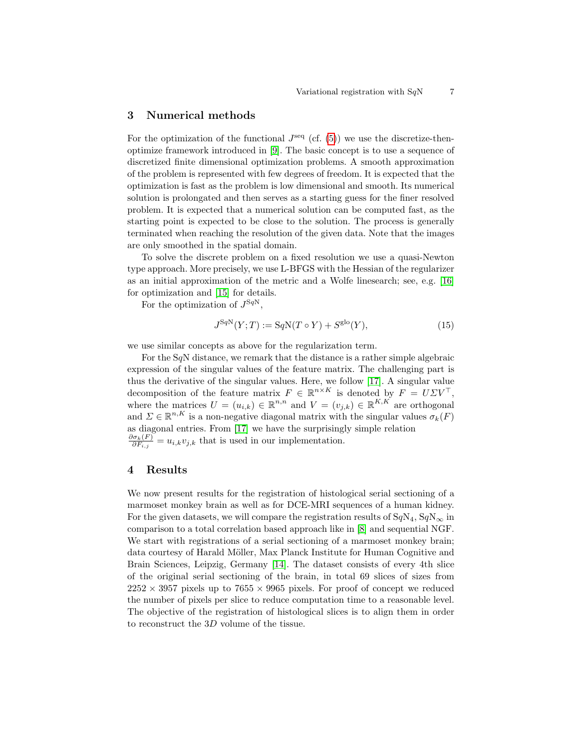# <span id="page-6-0"></span>3 Numerical methods

For the optimization of the functional  $J^{\text{seq}}$  (cf. [\(5\)](#page-2-1)) we use the discretize-thenoptimize framework introduced in [\[9\]](#page-10-10). The basic concept is to use a sequence of discretized finite dimensional optimization problems. A smooth approximation of the problem is represented with few degrees of freedom. It is expected that the optimization is fast as the problem is low dimensional and smooth. Its numerical solution is prolongated and then serves as a starting guess for the finer resolved problem. It is expected that a numerical solution can be computed fast, as the starting point is expected to be close to the solution. The process is generally terminated when reaching the resolution of the given data. Note that the images are only smoothed in the spatial domain.

To solve the discrete problem on a fixed resolution we use a quasi-Newton type approach. More precisely, we use L-BFGS with the Hessian of the regularizer as an initial approximation of the metric and a Wolfe linesearch; see, e.g. [\[16\]](#page-11-7) for optimization and [\[15\]](#page-11-4) for details.

For the optimization of  $J^{\text{SqN}}$ ,

$$
J^{\text{SqN}}(Y;T) := \text{SqN}(T \circ Y) + S^{\text{glo}}(Y),\tag{15}
$$

we use similar concepts as above for the regularization term.

For the SqN distance, we remark that the distance is a rather simple algebraic expression of the singular values of the feature matrix. The challenging part is thus the derivative of the singular values. Here, we follow [\[17\]](#page-11-8). A singular value decomposition of the feature matrix  $F \in \mathbb{R}^{n \times K}$  is denoted by  $F = U \Sigma V^{\top}$ , where the matrices  $U = (u_{i,k}) \in \mathbb{R}^{n,n}$  and  $V = (v_{j,k}) \in \mathbb{R}^{K,K}$  are orthogonal and  $\Sigma \in \mathbb{R}^{n,K}$  is a non-negative diagonal matrix with the singular values  $\sigma_k(F)$ as diagonal entries. From [\[17\]](#page-11-8) we have the surprisingly simple relation  $\partial \sigma_k(F)$  $\frac{\partial \sigma_k(F)}{\partial F_{i,j}} = u_{i,k} v_{j,k}$  that is used in our implementation.

# <span id="page-6-1"></span>4 Results

We now present results for the registration of histological serial sectioning of a marmoset monkey brain as well as for DCE-MRI sequences of a human kidney. For the given datasets, we will compare the registration results of  $SqN<sub>4</sub>, SqN<sub>∞</sub>$  in comparison to a total correlation based approach like in [\[8\]](#page-10-2) and sequential NGF. We start with registrations of a serial sectioning of a marmoset monkey brain; data courtesy of Harald Möller, Max Planck Institute for Human Cognitive and Brain Sciences, Leipzig, Germany [\[14\]](#page-11-9). The dataset consists of every 4th slice of the original serial sectioning of the brain, in total 69 slices of sizes from  $2252 \times 3957$  pixels up to  $7655 \times 9965$  pixels. For proof of concept we reduced the number of pixels per slice to reduce computation time to a reasonable level. The objective of the registration of histological slices is to align them in order to reconstruct the 3D volume of the tissue.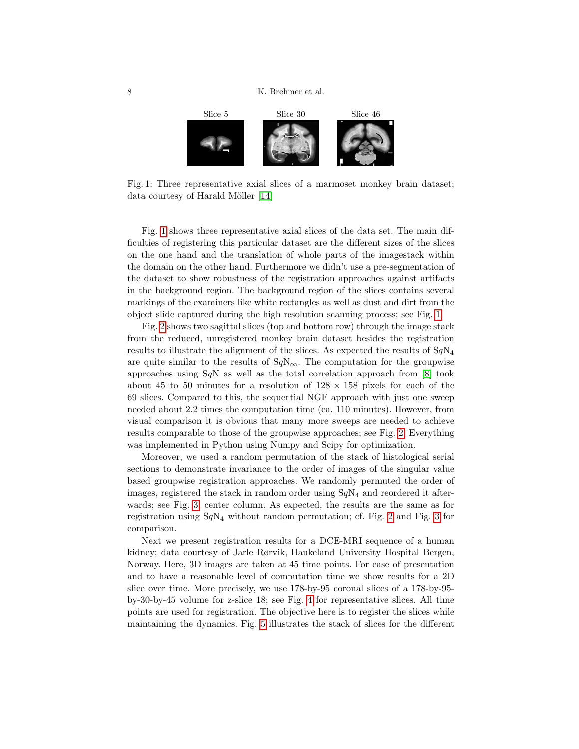<span id="page-7-0"></span>

Fig. 1: Three representative axial slices of a marmoset monkey brain dataset; data courtesy of Harald Möller [\[14\]](#page-11-9)

Fig. [1](#page-7-0) shows three representative axial slices of the data set. The main difficulties of registering this particular dataset are the different sizes of the slices on the one hand and the translation of whole parts of the imagestack within the domain on the other hand. Furthermore we didn't use a pre-segmentation of the dataset to show robustness of the registration approaches against artifacts in the background region. The background region of the slices contains several markings of the examiners like white rectangles as well as dust and dirt from the object slide captured during the high resolution scanning process; see Fig. [1.](#page-7-0)

Fig. [2](#page-8-0) shows two sagittal slices (top and bottom row) through the image stack from the reduced, unregistered monkey brain dataset besides the registration results to illustrate the alignment of the slices. As expected the results of  $SqN<sub>4</sub>$ are quite similar to the results of  $SqN_{\infty}$ . The computation for the groupwise approaches using SqN as well as the total correlation approach from [\[8\]](#page-10-2) took about 45 to 50 minutes for a resolution of  $128 \times 158$  pixels for each of the 69 slices. Compared to this, the sequential NGF approach with just one sweep needed about 2.2 times the computation time (ca. 110 minutes). However, from visual comparison it is obvious that many more sweeps are needed to achieve results comparable to those of the groupwise approaches; see Fig. [2.](#page-8-0) Everything was implemented in Python using Numpy and Scipy for optimization.

Moreover, we used a random permutation of the stack of histological serial sections to demonstrate invariance to the order of images of the singular value based groupwise registration approaches. We randomly permuted the order of images, registered the stack in random order using  $SqN<sub>4</sub>$  and reordered it afterwards; see Fig. [3,](#page-9-1) center column. As expected, the results are the same as for registration using  $SqN<sub>4</sub>$  without random permutation; cf. Fig. [2](#page-8-0) and Fig. [3](#page-9-1) for comparison.

Next we present registration results for a DCE-MRI sequence of a human kidney; data courtesy of Jarle Rørvik, Haukeland University Hospital Bergen, Norway. Here, 3D images are taken at 45 time points. For ease of presentation and to have a reasonable level of computation time we show results for a 2D slice over time. More precisely, we use 178-by-95 coronal slices of a 178-by-95 by-30-by-45 volume for z-slice 18; see Fig. [4](#page-10-11) for representative slices. All time points are used for registration. The objective here is to register the slices while maintaining the dynamics. Fig. [5](#page-11-10) illustrates the stack of slices for the different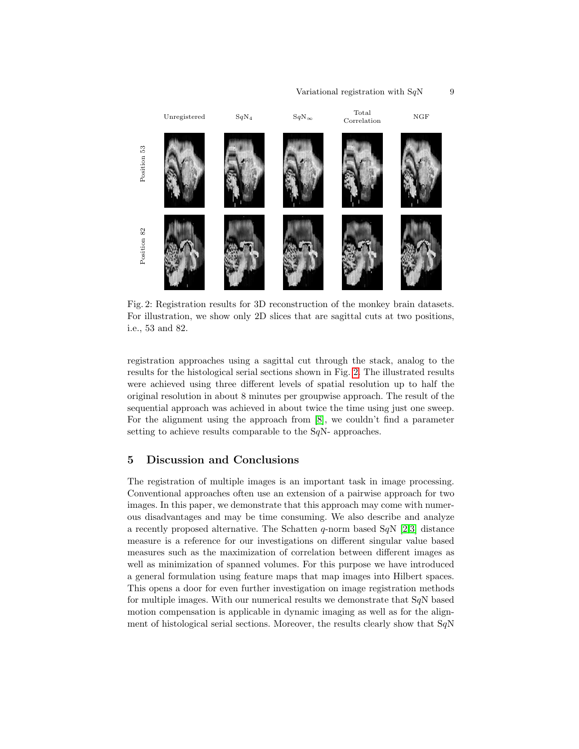<span id="page-8-0"></span>

Fig. 2: Registration results for 3D reconstruction of the monkey brain datasets. For illustration, we show only 2D slices that are sagittal cuts at two positions, i.e., 53 and 82.

registration approaches using a sagittal cut through the stack, analog to the results for the histological serial sections shown in Fig. [2.](#page-8-0) The illustrated results were achieved using three different levels of spatial resolution up to half the original resolution in about 8 minutes per groupwise approach. The result of the sequential approach was achieved in about twice the time using just one sweep. For the alignment using the approach from [\[8\]](#page-10-2), we couldn't find a parameter setting to achieve results comparable to the SqN- approaches.

# 5 Discussion and Conclusions

The registration of multiple images is an important task in image processing. Conventional approaches often use an extension of a pairwise approach for two images. In this paper, we demonstrate that this approach may come with numerous disadvantages and may be time consuming. We also describe and analyze a recently proposed alternative. The Schatten q-norm based SqN [\[2,](#page-10-4)[3\]](#page-10-5) distance measure is a reference for our investigations on different singular value based measures such as the maximization of correlation between different images as well as minimization of spanned volumes. For this purpose we have introduced a general formulation using feature maps that map images into Hilbert spaces. This opens a door for even further investigation on image registration methods for multiple images. With our numerical results we demonstrate that  $SqN$  based motion compensation is applicable in dynamic imaging as well as for the alignment of histological serial sections. Moreover, the results clearly show that  $SqN$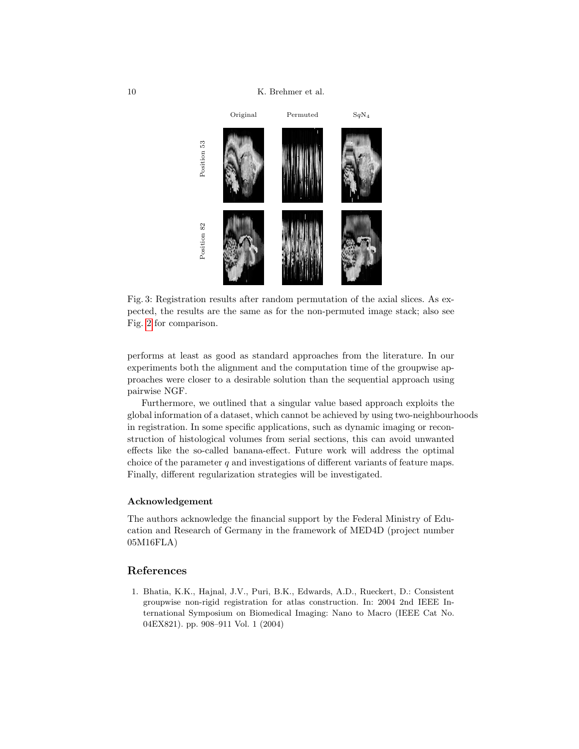<span id="page-9-1"></span>

Fig. 3: Registration results after random permutation of the axial slices. As expected, the results are the same as for the non-permuted image stack; also see Fig. [2](#page-8-0) for comparison.

performs at least as good as standard approaches from the literature. In our experiments both the alignment and the computation time of the groupwise approaches were closer to a desirable solution than the sequential approach using pairwise NGF.

Furthermore, we outlined that a singular value based approach exploits the global information of a dataset, which cannot be achieved by using two-neighbourhoods in registration. In some specific applications, such as dynamic imaging or reconstruction of histological volumes from serial sections, this can avoid unwanted effects like the so-called banana-effect. Future work will address the optimal choice of the parameter  $q$  and investigations of different variants of feature maps. Finally, different regularization strategies will be investigated.

#### Acknowledgement

The authors acknowledge the financial support by the Federal Ministry of Education and Research of Germany in the framework of MED4D (project number 05M16FLA)

## References

<span id="page-9-0"></span>1. Bhatia, K.K., Hajnal, J.V., Puri, B.K., Edwards, A.D., Rueckert, D.: Consistent groupwise non-rigid registration for atlas construction. In: 2004 2nd IEEE International Symposium on Biomedical Imaging: Nano to Macro (IEEE Cat No. 04EX821). pp. 908–911 Vol. 1 (2004)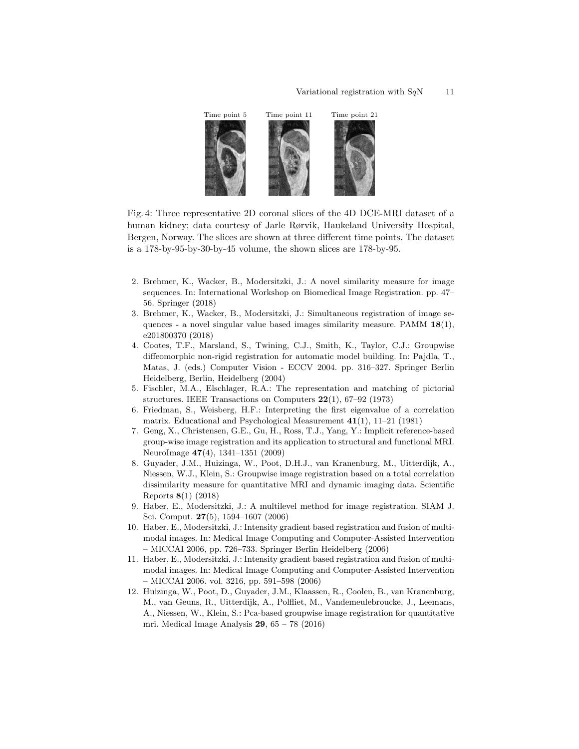<span id="page-10-11"></span>

Fig. 4: Three representative 2D coronal slices of the 4D DCE-MRI dataset of a human kidney; data courtesy of Jarle Rørvik, Haukeland University Hospital, Bergen, Norway. The slices are shown at three different time points. The dataset is a 178-by-95-by-30-by-45 volume, the shown slices are 178-by-95.

- <span id="page-10-4"></span>2. Brehmer, K., Wacker, B., Modersitzki, J.: A novel similarity measure for image sequences. In: International Workshop on Biomedical Image Registration. pp. 47– 56. Springer (2018)
- <span id="page-10-5"></span>3. Brehmer, K., Wacker, B., Modersitzki, J.: Simultaneous registration of image sequences - a novel singular value based images similarity measure. PAMM  $18(1)$ , e201800370 (2018)
- <span id="page-10-0"></span>4. Cootes, T.F., Marsland, S., Twining, C.J., Smith, K., Taylor, C.J.: Groupwise diffeomorphic non-rigid registration for automatic model building. In: Pajdla, T., Matas, J. (eds.) Computer Vision - ECCV 2004. pp. 316–327. Springer Berlin Heidelberg, Berlin, Heidelberg (2004)
- <span id="page-10-8"></span>5. Fischler, M.A., Elschlager, R.A.: The representation and matching of pictorial structures. IEEE Transactions on Computers 22(1), 67–92 (1973)
- <span id="page-10-6"></span>6. Friedman, S., Weisberg, H.F.: Interpreting the first eigenvalue of a correlation matrix. Educational and Psychological Measurement 41(1), 11–21 (1981)
- <span id="page-10-1"></span>7. Geng, X., Christensen, G.E., Gu, H., Ross, T.J., Yang, Y.: Implicit reference-based group-wise image registration and its application to structural and functional MRI. NeuroImage 47(4), 1341–1351 (2009)
- <span id="page-10-2"></span>8. Guyader, J.M., Huizinga, W., Poot, D.H.J., van Kranenburg, M., Uitterdijk, A., Niessen, W.J., Klein, S.: Groupwise image registration based on a total correlation dissimilarity measure for quantitative MRI and dynamic imaging data. Scientific Reports 8(1) (2018)
- <span id="page-10-10"></span>9. Haber, E., Modersitzki, J.: A multilevel method for image registration. SIAM J. Sci. Comput. 27(5), 1594–1607 (2006)
- <span id="page-10-7"></span>10. Haber, E., Modersitzki, J.: Intensity gradient based registration and fusion of multimodal images. In: Medical Image Computing and Computer-Assisted Intervention – MICCAI 2006, pp. 726–733. Springer Berlin Heidelberg (2006)
- <span id="page-10-9"></span>11. Haber, E., Modersitzki, J.: Intensity gradient based registration and fusion of multimodal images. In: Medical Image Computing and Computer-Assisted Intervention  $-$  MICCAI 2006. vol. 3216, pp. 591–598 (2006)
- <span id="page-10-3"></span>12. Huizinga, W., Poot, D., Guyader, J.M., Klaassen, R., Coolen, B., van Kranenburg, M., van Geuns, R., Uitterdijk, A., Polfliet, M., Vandemeulebroucke, J., Leemans, A., Niessen, W., Klein, S.: Pca-based groupwise image registration for quantitative mri. Medical Image Analysis 29, 65 – 78 (2016)